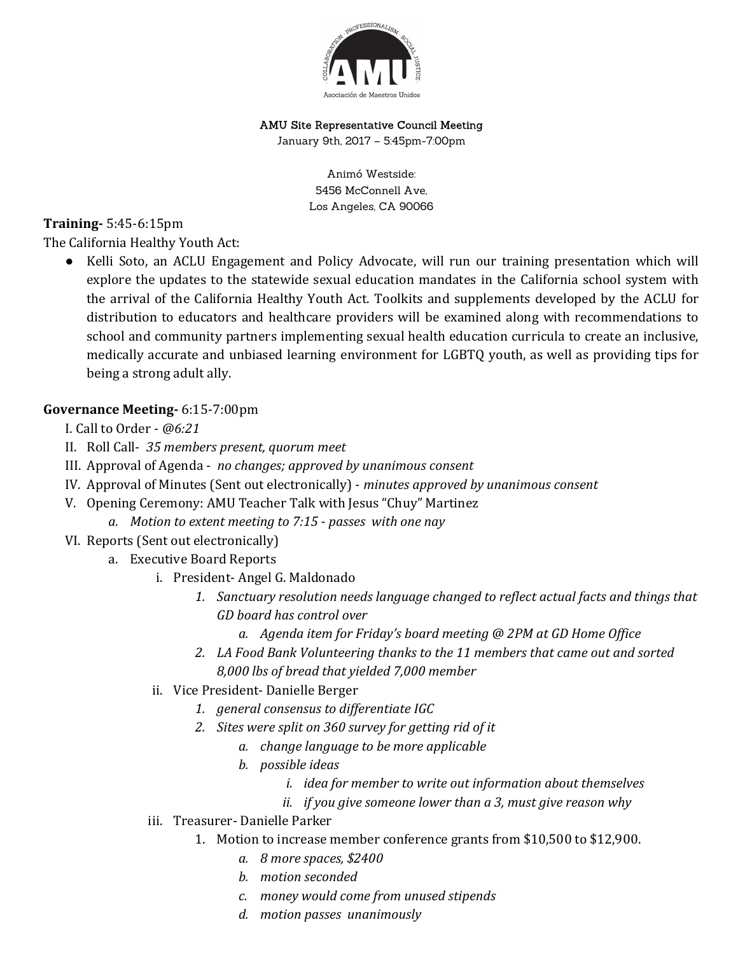

## AMU Site Representative Council Meeting

January 9th, 2017 – 5:45pm-7:00pm

Animó Westside: 5456 McConnell Ave, Los Angeles, CA 90066

## Training- 5:45-6:15pm

The California Healthy Youth Act:

• Kelli Soto, an ACLU Engagement and Policy Advocate, will run our training presentation which will explore the updates to the statewide sexual education mandates in the California school system with the arrival of the California Healthy Youth Act. Toolkits and supplements developed by the ACLU for distribution to educators and healthcare providers will be examined along with recommendations to school and community partners implementing sexual health education curricula to create an inclusive, medically accurate and unbiased learning environment for LGBTQ youth, as well as providing tips for being a strong adult ally.

## Governance Meeting- 6:15-7:00pm

- I. Call to Order @6:21
- II. Roll Call- 35 members present, quorum meet
- III. Approval of Agenda no changes; approved by unanimous consent
- IV. Approval of Minutes (Sent out electronically) minutes approved by unanimous consent
- V. Opening Ceremony: AMU Teacher Talk with Jesus "Chuy" Martinez
	- a. Motion to extent meeting to 7:15 passes with one nay
- VI. Reports (Sent out electronically)
	- a. Executive Board Reports
		- i. President- Angel G. Maldonado
			- 1. Sanctuary resolution needs language changed to reflect actual facts and things that GD board has control over
				- a. Agenda item for Friday's board meeting @ 2PM at GD Home Office
			- 2. LA Food Bank Volunteering thanks to the 11 members that came out and sorted 8,000 lbs of bread that yielded 7,000 member
		- ii. Vice President- Danielle Berger
			- 1. general consensus to differentiate IGC
			- 2. Sites were split on 360 survey for getting rid of it
				- a. change language to be more applicable
				- b. possible ideas
					- i. idea for member to write out information about themselves
					- ii. if you give someone lower than a 3, must give reason why
		- iii. Treasurer- Danielle Parker
			- 1. Motion to increase member conference grants from \$10,500 to \$12,900.
				- a. 8 more spaces, \$2400
				- b. motion seconded
				- c. money would come from unused stipends
				- d. motion passes unanimously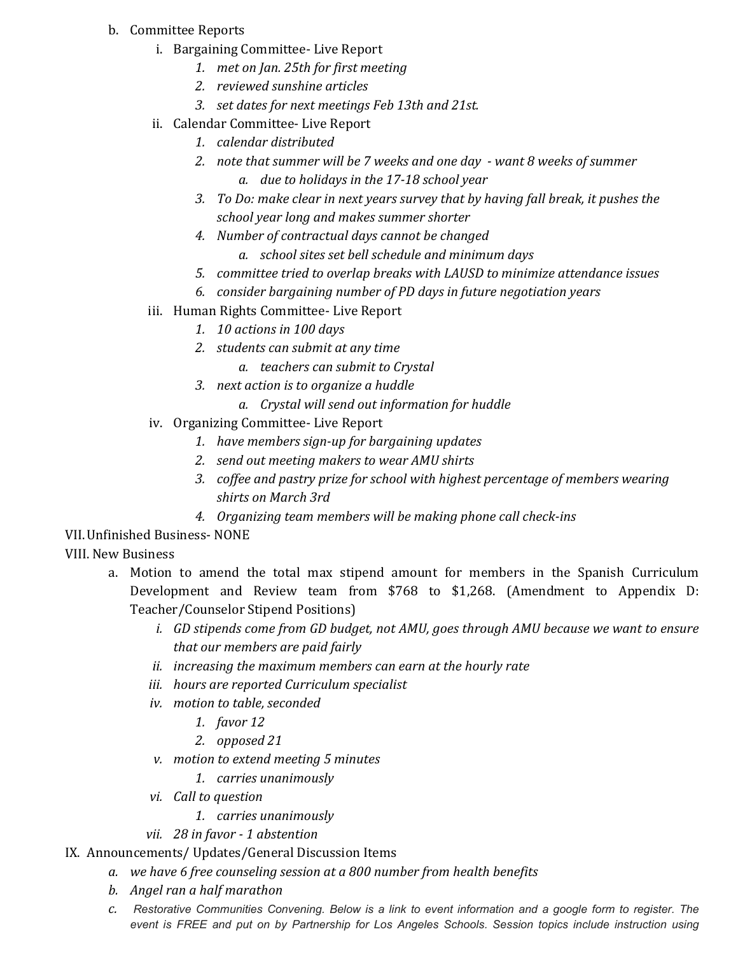- b. Committee Reports
	- i. Bargaining Committee- Live Report
		- 1. met on Jan. 25th for first meeting
		- 2. reviewed sunshine articles
		- 3. set dates for next meetings Feb 13th and 21st.
	- ii. Calendar Committee- Live Report
		- 1. calendar distributed
		- 2. note that summer will be 7 weeks and one day want 8 weeks of summer
			- a. due to holidays in the 17-18 school year
		- 3. To Do: make clear in next years survey that by having fall break, it pushes the school year long and makes summer shorter
		- 4. Number of contractual days cannot be changed
			- a. school sites set bell schedule and minimum days
		- 5. committee tried to overlap breaks with LAUSD to minimize attendance issues
		- 6. consider bargaining number of PD days in future negotiation years
	- iii. Human Rights Committee- Live Report
		- 1. 10 actions in 100 days
		- 2. students can submit at any time
			- a. teachers can submit to Crystal
		- 3. next action is to organize a huddle
			- a. Crystal will send out information for huddle
	- iv. Organizing Committee- Live Report
		- 1. have members sign-up for bargaining updates
		- 2. send out meeting makers to wear AMU shirts
		- 3. coffee and pastry prize for school with highest percentage of members wearing shirts on March 3rd
		- 4. Organizing team members will be making phone call check-ins
- VII.Unfinished Business- NONE
- VIII. New Business
	- a. Motion to amend the total max stipend amount for members in the Spanish Curriculum Development and Review team from \$768 to \$1,268. (Amendment to Appendix D: Teacher/Counselor Stipend Positions)
		- i. GD stipends come from GD budget, not AMU, goes through AMU because we want to ensure that our members are paid fairly
		- ii. increasing the maximum members can earn at the hourly rate
		- iii. hours are reported Curriculum specialist
		- iv. motion to table, seconded
			- 1. favor 12
			- 2. opposed 21
		- v. motion to extend meeting 5 minutes
			- 1. carries unanimously
		- vi. Call to question
			- 1. carries unanimously
		- vii. 28 in favor 1 abstention
- IX. Announcements/ Updates/General Discussion Items
	- a. we have 6 free counseling session at a 800 number from health benefits
	- b. Angel ran a half marathon
	- c. Restorative Communities Convening. Below is a link to event information and a google form to register. The event is FREE and put on by Partnership for Los Angeles Schools. Session topics include instruction using